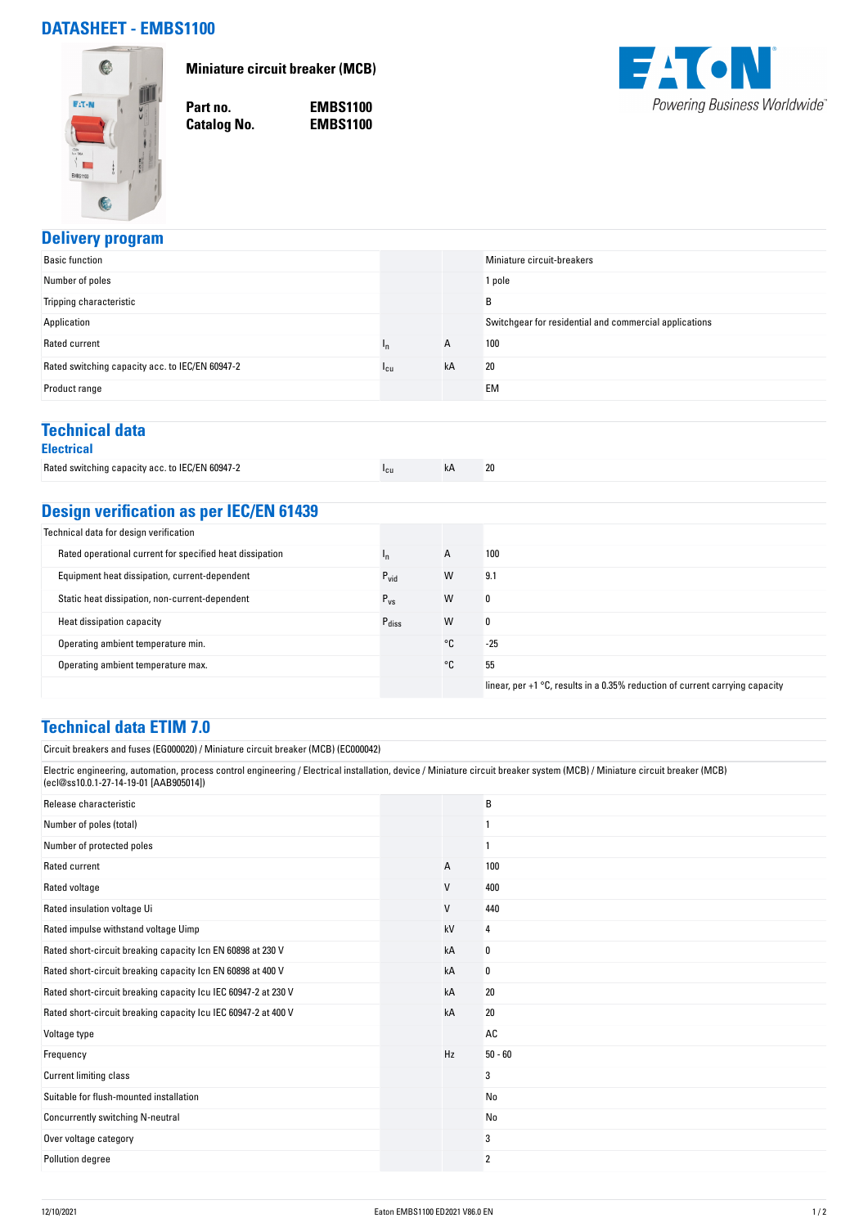## **DATASHEET - EMBS1100**



**Miniature circuit breaker (MCB)**

**Catalog No.** 

**Part no. EMBS1100**



### **Delivery program**

| <b>Basic function</b>                           |        |    | Miniature circuit-breakers                             |
|-------------------------------------------------|--------|----|--------------------------------------------------------|
| Number of poles                                 |        |    | 1 pole                                                 |
| Tripping characteristic                         |        |    | B                                                      |
| Application                                     |        |    | Switchgear for residential and commercial applications |
| Rated current                                   | ιn     | A  | 100                                                    |
| Rated switching capacity acc. to IEC/EN 60947-2 | $1$ cu | kA | 20                                                     |
| Product range                                   |        |    | <b>EM</b>                                              |
|                                                 |        |    |                                                        |

## **Technical data**

|  |  |  | ectric <sup>,</sup> |  |  |  |
|--|--|--|---------------------|--|--|--|
|--|--|--|---------------------|--|--|--|

| Rated switching capacity acc. to IEC/EN 60947-2 | "cu | 20 |
|-------------------------------------------------|-----|----|
|                                                 |     |    |

# **Design verification as per IEC/EN 61439**

| Technical data for design verification                   |                   |    |                                                                                |
|----------------------------------------------------------|-------------------|----|--------------------------------------------------------------------------------|
| Rated operational current for specified heat dissipation | 'n                | A  | 100                                                                            |
| Equipment heat dissipation, current-dependent            | $P_{\text{vid}}$  | W  | 9.1                                                                            |
| Static heat dissipation, non-current-dependent           | $P_{VS}$          | W  | 0                                                                              |
| Heat dissipation capacity                                | $P_{\text{diss}}$ | W  | 0                                                                              |
| Operating ambient temperature min.                       |                   | °C | $-25$                                                                          |
| Operating ambient temperature max.                       |                   | °C | 55                                                                             |
|                                                          |                   |    | linear, per $+1$ °C, results in a 0.35% reduction of current carrying capacity |

#### **Technical data ETIM 7.0**

Circuit breakers and fuses (EG000020) / Miniature circuit breaker (MCB) (EC000042)

Electric engineering, automation, process control engineering / Electrical installation, device / Miniature circuit breaker system (MCB) / Miniature circuit breaker (MCB) (ecl@ss10.0.1-27-14-19-01 [AAB905014])

| Release characteristic                                         |    | B         |
|----------------------------------------------------------------|----|-----------|
| Number of poles (total)                                        |    |           |
| Number of protected poles                                      |    |           |
| Rated current                                                  | А  | 100       |
| Rated voltage                                                  | V  | 400       |
| Rated insulation voltage Ui                                    | V  | 440       |
| Rated impulse withstand voltage Uimp                           | kV | 4         |
| Rated short-circuit breaking capacity Icn EN 60898 at 230 V    | kA | 0         |
| Rated short-circuit breaking capacity Icn EN 60898 at 400 V    | kA | 0         |
| Rated short-circuit breaking capacity Icu IEC 60947-2 at 230 V | kA | 20        |
| Rated short-circuit breaking capacity Icu IEC 60947-2 at 400 V | kA | 20        |
| Voltage type                                                   |    | AC        |
| Frequency                                                      | Hz | $50 - 60$ |
| <b>Current limiting class</b>                                  |    | 3         |
| Suitable for flush-mounted installation                        |    | No        |
| Concurrently switching N-neutral                               |    | No        |
| Over voltage category                                          |    | 3         |
| Pollution degree                                               |    | 2         |